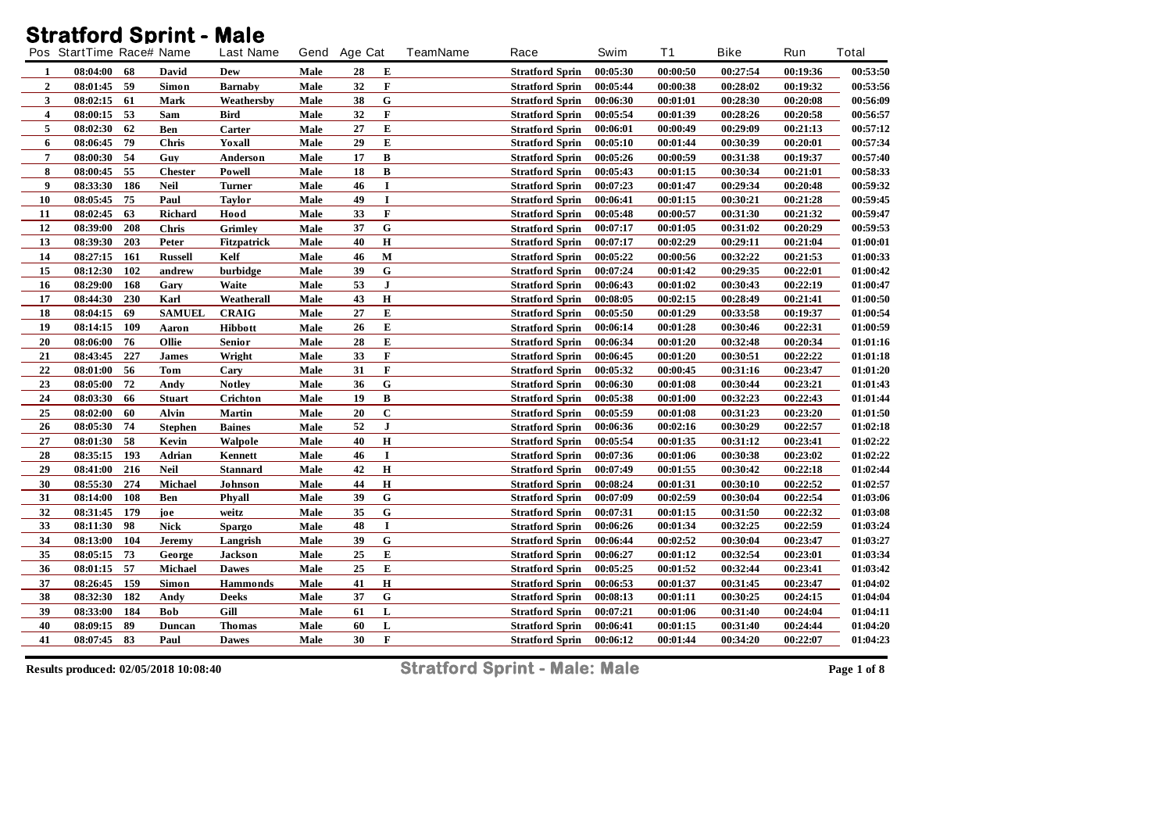## **Stratford Sprint - Male**

|                  | Pos StartTime Race# Name |                | <b>Last Name</b> |      | Gend Age Cat |              | <b>TeamName</b> | Race                                             | Swim     | T1       | <b>Bike</b> | Run      | Total    |
|------------------|--------------------------|----------------|------------------|------|--------------|--------------|-----------------|--------------------------------------------------|----------|----------|-------------|----------|----------|
|                  | 68<br>08:04:00           | David          | Dew              | Male | 28           | Е            |                 | <b>Stratford Sprin</b>                           | 00:05:30 | 00:00:50 | 00:27:54    | 00:19:36 | 00:53:50 |
| $\mathbf{2}$     | -59<br>08:01:45          | Simon          | <b>Barnaby</b>   | Male | 32           | $\mathbf F$  |                 | <b>Stratford Sprin</b>                           | 00:05:44 | 00:00:38 | 00:28:02    | 00:19:32 | 00:53:56 |
| 3                | 08:02:15<br>61           | Mark           | Weathersby       | Male | 38           | ${\bf G}$    |                 | <b>Stratford Sprin</b>                           | 00:06:30 | 00:01:01 | 00:28:30    | 00:20:08 | 00:56:09 |
| 4                | 53<br>08:00:15           | Sam            | Bird             | Male | 32           | F            |                 |                                                  | 00:05:54 | 00:01:39 | 00:28:26    | 00:20:58 | 00:56:57 |
| 5                | 62<br>08:02:30           | Ben            | Carter           | Male | 27           | E            |                 | <b>Stratford Sprin</b><br><b>Stratford Sprin</b> | 00:06:01 | 00:00:49 | 00:29:09    | 00:21:13 | 00:57:12 |
| 6                | 79<br>08:06:45           | <b>Chris</b>   | Yoxall           | Male | 29           | E            |                 | <b>Stratford Sprin</b>                           | 00:05:10 | 00:01:44 | 00:30:39    | 00:20:01 | 00:57:34 |
| 7                | 08:00:30<br>54           | Guy            | Anderson         | Male | 17           | B            |                 | <b>Stratford Sprin</b>                           | 00:05:26 | 00:00:59 | 00:31:38    | 00:19:37 | 00:57:40 |
| 8                | 55<br>08:00:45           | <b>Chester</b> | <b>Powell</b>    | Male | 18           | $\, {\bf B}$ |                 | <b>Stratford Sprin</b>                           | 00:05:43 | 00:01:15 | 00:30:34    | 00:21:01 | 00:58:33 |
| $\boldsymbol{9}$ | 08:33:30<br>186          | <b>Neil</b>    | Turner           | Male | 46           | $\mathbf I$  |                 | <b>Stratford Sprin</b>                           | 00:07:23 | 00:01:47 | 00:29:34    | 00:20:48 | 00:59:32 |
| 10               | 75<br>08:05:45           | Paul           | Taylor           | Male | 49           | I            |                 | <b>Stratford Sprin</b>                           | 00:06:41 | 00:01:15 | 00:30:21    | 00:21:28 | 00:59:45 |
| 11               | 63<br>08:02:45           | Richard        | Hood             | Male | 33           | F            |                 | <b>Stratford Sprin</b>                           | 00:05:48 | 00:00:57 | 00:31:30    | 00:21:32 | 00:59:47 |
| 12               | 08:39:00<br>208          | Chris          | <b>Grimley</b>   | Male | 37           | ${\bf G}$    |                 | <b>Stratford Sprin</b>                           | 00:07:17 | 00:01:05 | 00:31:02    | 00:20:29 | 00:59:53 |
| 13               | 203<br>08:39:30          | Peter          | Fitzpatrick      | Male | 40           | $\mathbf H$  |                 | <b>Stratford Sprin</b>                           | 00:07:17 | 00:02:29 | 00:29:11    | 00:21:04 | 01:00:01 |
| 14               | 08:27:15<br>161          | <b>Russell</b> | Kelf             | Male | 46           | $\mathbf M$  |                 | <b>Stratford Sprin</b>                           | 00:05:22 | 00:00:56 | 00:32:22    | 00:21:53 | 01:00:33 |
| 15               | 102<br>08:12:30          | andrew         | burbidge         | Male | 39           | ${\bf G}$    |                 | <b>Stratford Sprin</b>                           | 00:07:24 | 00:01:42 | 00:29:35    | 00:22:01 | 01:00:42 |
| 16               | 168<br>08:29:00          | Gary           | Waite            | Male | 53           | $\mathbf{I}$ |                 | <b>Stratford Sprin</b>                           | 00:06:43 | 00:01:02 | 00:30:43    | 00:22:19 | 01:00:47 |
| 17               | 230<br>08:44:30          | Karl           | Weatherall       | Male | 43           | $\mathbf H$  |                 | <b>Stratford Sprin</b>                           | 00:08:05 | 00:02:15 | 00:28:49    | 00:21:41 | 01:00:50 |
| 18               | 08:04:15<br>69           | <b>SAMUEL</b>  | <b>CRAIG</b>     | Male | 27           | Е            |                 | <b>Stratford Sprin</b>                           | 00:05:50 | 00:01:29 | 00:33:58    | 00:19:37 | 01:00:54 |
| 19               | 109<br>08:14:15          | Aaron          | <b>Hibbott</b>   | Male | 26           | E            |                 | <b>Stratford Sprin</b>                           | 00:06:14 | 00:01:28 | 00:30:46    | 00:22:31 | 01:00:59 |
| 20               | 76<br>08:06:00           | Ollie          | <b>Senior</b>    | Male | 28           | E            |                 | <b>Stratford Sprin</b>                           | 00:06:34 | 00:01:20 | 00:32:48    | 00:20:34 | 01:01:16 |
| 21               | 227<br>08:43:45          | <b>James</b>   | Wright           | Male | 33           | F            |                 | <b>Stratford Sprin</b>                           | 00:06:45 | 00:01:20 | 00:30:51    | 00:22:22 | 01:01:18 |
| $\bf{22}$        | 56<br>08:01:00           | Tom            | Cary             | Male | 31           | F            |                 | <b>Stratford Sprin</b>                           | 00:05:32 | 00:00:45 | 00:31:16    | 00:23:47 | 01:01:20 |
| 23               | 08:05:00<br>72           | Andy           | <b>Notley</b>    | Male | 36           | G            |                 | <b>Stratford Sprin</b>                           | 00:06:30 | 00:01:08 | 00:30:44    | 00:23:21 | 01:01:43 |
| 24               | 08:03:30<br>66           | <b>Stuart</b>  | Crichton         | Male | 19           | $\, {\bf B}$ |                 | <b>Stratford Sprin</b>                           | 00:05:38 | 00:01:00 | 00:32:23    | 00:22:43 | 01:01:44 |
| 25               | 60<br>08:02:00           | Alvin          | Martin           | Male | 20           | $\mathbf C$  |                 | <b>Stratford Sprin</b>                           | 00:05:59 | 00:01:08 | 00:31:23    | 00:23:20 | 01:01:50 |
| 26               | 08:05:30<br>74           | <b>Stephen</b> | <b>Baines</b>    | Male | 52           | ${\bf J}$    |                 | <b>Stratford Sprin</b>                           | 00:06:36 | 00:02:16 | 00:30:29    | 00:22:57 | 01:02:18 |
| $\bf 27$         | 58<br>08:01:30           | Kevin          | Walpole          | Male | 40           | $\bf H$      |                 | <b>Stratford Sprin</b>                           | 00:05:54 | 00:01:35 | 00:31:12    | 00:23:41 | 01:02:22 |
| 28               | 193<br>08:35:15          | Adrian         | Kennett          | Male | 46           | $\mathbf I$  |                 | <b>Stratford Sprin</b>                           | 00:07:36 | 00:01:06 | 00:30:38    | 00:23:02 | 01:02:22 |
| 29               | 216<br>08:41:00          | <b>Neil</b>    | <b>Stannard</b>  | Male | 42           | $\mathbf H$  |                 | <b>Stratford Sprin</b>                           | 00:07:49 | 00:01:55 | 00:30:42    | 00:22:18 | 01:02:44 |
| 30               | 274<br>08:55:30          | Michael        | Johnson          | Male | 44           | $\mathbf H$  |                 | <b>Stratford Sprin</b>                           | 00:08:24 | 00:01:31 | 00:30:10    | 00:22:52 | 01:02:57 |
| 31               | 108<br>08:14:00          | Ben            | Phyall           | Male | 39           | ${\bf G}$    |                 | <b>Stratford Sprin</b>                           | 00:07:09 | 00:02:59 | 00:30:04    | 00:22:54 | 01:03:06 |
| 32               | 08:31:45<br>179          | joe            | weitz            | Male | 35           | ${\bf G}$    |                 | <b>Stratford Sprin</b>                           | 00:07:31 | 00:01:15 | 00:31:50    | 00:22:32 | 01:03:08 |
| 33               | 08:11:30<br>98           | <b>Nick</b>    | Spargo           | Male | 48           | I            |                 | <b>Stratford Sprin</b>                           | 00:06:26 | 00:01:34 | 00:32:25    | 00:22:59 | 01:03:24 |
| 34               | 08:13:00<br>104          | <b>Jeremy</b>  | Langrish         | Male | 39           | ${\bf G}$    |                 | <b>Stratford Sprin</b>                           | 00:06:44 | 00:02:52 | 00:30:04    | 00:23:47 | 01:03:27 |
| 35               | 73<br>08:05:15           | George         | Jackson          | Male | 25           | E            |                 | <b>Stratford Sprin</b>                           | 00:06:27 | 00:01:12 | 00:32:54    | 00:23:01 | 01:03:34 |
| 36               | 57<br>08:01:15           | Michael        | <b>Dawes</b>     | Male | 25           | E            |                 | <b>Stratford Sprin</b>                           | 00:05:25 | 00:01:52 | 00:32:44    | 00:23:41 | 01:03:42 |
| 37               | 159<br>08:26:45          | Simon          | <b>Hammonds</b>  | Male | 41           | $\mathbf H$  |                 | <b>Stratford Sprin</b>                           | 00:06:53 | 00:01:37 | 00:31:45    | 00:23:47 | 01:04:02 |
| 38               | 182<br>08:32:30          | Andy           | Deeks            | Male | 37           | ${\bf G}$    |                 | <b>Stratford Sprin</b>                           | 00:08:13 | 00:01:11 | 00:30:25    | 00:24:15 | 01:04:04 |
| 39               | 184<br>08:33:00          | Bob            | Gill             | Male | 61           | L            |                 | <b>Stratford Sprin</b>                           | 00:07:21 | 00:01:06 | 00:31:40    | 00:24:04 | 01:04:11 |
| 40               | 89<br>08:09:15           | Duncan         | Thomas           | Male | 60           | L            |                 | <b>Stratford Sprin</b>                           | 00:06:41 | 00:01:15 | 00:31:40    | 00:24:44 | 01:04:20 |
| 41               | 08:07:45<br>83           | Paul           | <b>Dawes</b>     | Male | 30           | F            |                 | <b>Stratford Sprin</b>                           | 00:06:12 | 00:01:44 | 00:34:20    | 00:22:07 | 01:04:23 |
|                  |                          |                |                  |      |              |              |                 |                                                  |          |          |             |          |          |

**Results produced: 02/05/2018 10:08:40 Stratford Sprint - Male: Male Page 1 of 8**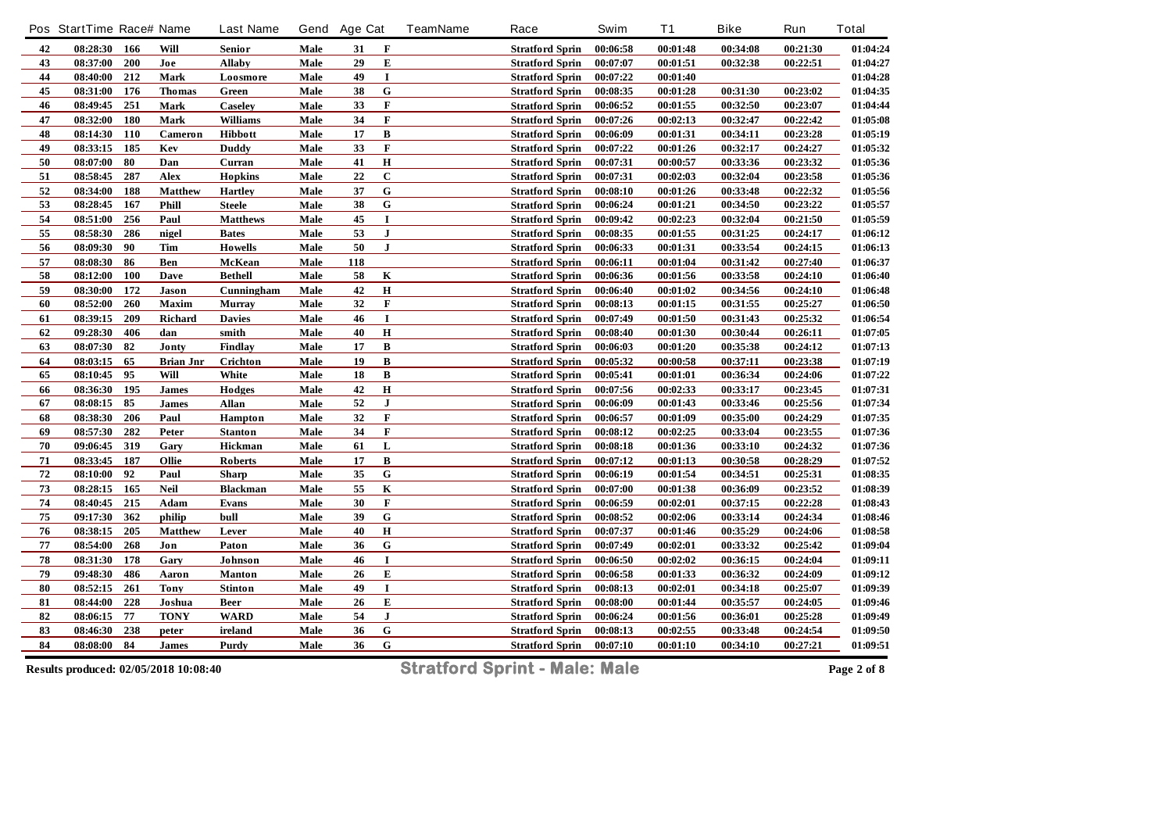|            | Pos StartTime Race# Name |            |                  | <b>Last Name</b> |      | Gend Age Cat |                         | <b>TeamName</b> | Race                   | Swim     | <b>T1</b> | <b>Bike</b> | Run      | <b>Total</b> |
|------------|--------------------------|------------|------------------|------------------|------|--------------|-------------------------|-----------------|------------------------|----------|-----------|-------------|----------|--------------|
| 42         | 08:28:30 166             |            | Will             | Senior           | Male | 31           | F                       |                 | <b>Stratford Sprin</b> | 00:06:58 | 00:01:48  | 00:34:08    | 00:21:30 | 01:04:24     |
| 43         | 08:37:00                 | 200        | Joe              | <b>Allaby</b>    | Male | 29           | E                       |                 | <b>Stratford Sprin</b> | 00:07:07 | 00:01:51  | 00:32:38    | 00:22:51 | 01:04:27     |
| 44         | 08:40:00                 | 212        | Mark             | Loosmore         | Male | 49           | $\mathbf I$             |                 | <b>Stratford Sprin</b> | 00:07:22 | 00:01:40  |             |          | 01:04:28     |
| 45         | 08:31:00                 | 176        | <b>Thomas</b>    | Green            | Male | 38           | ${\bf G}$               |                 | <b>Stratford Sprin</b> | 00:08:35 | 00:01:28  | 00:31:30    | 00:23:02 | 01:04:35     |
| 46         | 08:49:45                 | 251        | Mark             | <b>Caseley</b>   | Male | 33           | $\mathbf F$             |                 | <b>Stratford Sprin</b> | 00:06:52 | 00:01:55  | 00:32:50    | 00:23:07 | 01:04:44     |
| 47         | 08:32:00                 | <b>180</b> | Mark             | <b>Williams</b>  | Male | 34           | $\mathbf F$             |                 | <b>Stratford Sprin</b> | 00:07:26 | 00:02:13  | 00:32:47    | 00:22:42 | 01:05:08     |
| 48         | 08:14:30                 | <b>110</b> | Cameron          | <b>Hibbott</b>   | Male | 17           | B                       |                 | <b>Stratford Sprin</b> | 00:06:09 | 00:01:31  | 00:34:11    | 00:23:28 | 01:05:19     |
| 49         | 08:33:15                 | 185        | Kev              | <b>Duddy</b>     | Male | 33           | $\mathbf F$             |                 | <b>Stratford Sprin</b> | 00:07:22 | 00:01:26  | 00:32:17    | 00:24:27 | 01:05:32     |
| ${\bf 50}$ | 08:07:00                 | 80         | Dan              | Curran           | Male | 41           | $\mathbf H$             |                 | <b>Stratford Sprin</b> | 00:07:31 | 00:00:57  | 00:33:36    | 00:23:32 | 01:05:36     |
| 51         | 08:58:45                 | 287        | Alex             | <b>Hopkins</b>   | Male | 22           | $\mathbf C$             |                 | <b>Stratford Sprin</b> | 00:07:31 | 00:02:03  | 00:32:04    | 00:23:58 | 01:05:36     |
| 52         | 08:34:00                 | 188        | <b>Matthew</b>   | <b>Hartley</b>   | Male | 37           | $\overline{\mathbf{G}}$ |                 | <b>Stratford Sprin</b> | 00:08:10 | 00:01:26  | 00:33:48    | 00:22:32 | 01:05:56     |
| 53         | 08:28:45                 | 167        | Phill            | <b>Steele</b>    | Male | 38           | ${\bf G}$               |                 | <b>Stratford Sprin</b> | 00:06:24 | 00:01:21  | 00:34:50    | 00:23:22 | 01:05:57     |
| 54         | 08:51:00                 | 256        | Paul             | <b>Matthews</b>  | Male | 45           | $\bf{I}$                |                 | <b>Stratford Sprin</b> | 00:09:42 | 00:02:23  | 00:32:04    | 00:21:50 | 01:05:59     |
| 55         | 08:58:30                 | 286        | nigel            | <b>Bates</b>     | Male | 53           | $\bf J$                 |                 | <b>Stratford Sprin</b> | 00:08:35 | 00:01:55  | 00:31:25    | 00:24:17 | 01:06:12     |
| 56         | 08:09:30                 | 90         | Tim              | <b>Howells</b>   | Male | 50           | $\bf J$                 |                 | <b>Stratford Sprin</b> | 00:06:33 | 00:01:31  | 00:33:54    | 00:24:15 | 01:06:13     |
| 57         | 08:08:30                 | 86         | Ben              | McKean           | Male | 118          |                         |                 | <b>Stratford Sprin</b> | 00:06:11 | 00:01:04  | 00:31:42    | 00:27:40 | 01:06:37     |
| 58         | 08:12:00                 | 100        | Dave             | <b>Bethell</b>   | Male | 58           | K                       |                 | <b>Stratford Sprin</b> | 00:06:36 | 00:01:56  | 00:33:58    | 00:24:10 | 01:06:40     |
| 59         | 08:30:00                 | 172        | Jason            | Cunningham       | Male | 42           | $\bf H$                 |                 | <b>Stratford Sprin</b> | 00:06:40 | 00:01:02  | 00:34:56    | 00:24:10 | 01:06:48     |
| 60         | 08:52:00                 | 260        | Maxim            | <b>Murray</b>    | Male | 32           | $\mathbf F$             |                 | <b>Stratford Sprin</b> | 00:08:13 | 00:01:15  | 00:31:55    | 00:25:27 | 01:06:50     |
| 61         | 08:39:15                 | 209        | <b>Richard</b>   | <b>Davies</b>    | Male | 46           | $\mathbf I$             |                 | <b>Stratford Sprin</b> | 00:07:49 | 00:01:50  | 00:31:43    | 00:25:32 | 01:06:54     |
| 62         | 09:28:30                 | 406        | dan              | smith            | Male | 40           | $\bf H$                 |                 | <b>Stratford Sprin</b> | 00:08:40 | 00:01:30  | 00:30:44    | 00:26:11 | 01:07:05     |
| 63         | 08:07:30                 | 82         | Jonty            | Findlay          | Male | 17           | B                       |                 | <b>Stratford Sprin</b> | 00:06:03 | 00:01:20  | 00:35:38    | 00:24:12 | 01:07:13     |
| 64         | 08:03:15                 | 65         | <b>Brian Jnr</b> | Crichton         | Male | 19           | $\, {\bf B}$            |                 | <b>Stratford Sprin</b> | 00:05:32 | 00:00:58  | 00:37:11    | 00:23:38 | 01:07:19     |
| 65         | 08:10:45                 | 95         | Will             | White            | Male | 18           | B                       |                 | <b>Stratford Sprin</b> | 00:05:41 | 00:01:01  | 00:36:34    | 00:24:06 | 01:07:22     |
| 66         | 08:36:30 195             |            | <b>James</b>     | Hodges           | Male | 42           | $\bf H$                 |                 | <b>Stratford Sprin</b> | 00:07:56 | 00:02:33  | 00:33:17    | 00:23:45 | 01:07:31     |
| 67         | 08:08:15                 | 85         | James            | Allan            | Male | 52           | ${\bf J}$               |                 | <b>Stratford Sprin</b> | 00:06:09 | 00:01:43  | 00:33:46    | 00:25:56 | 01:07:34     |
| 68         | 08:38:30                 | 206        | Paul             | <b>Hampton</b>   | Male | 32           | $\mathbf F$             |                 | <b>Stratford Sprin</b> | 00:06:57 | 00:01:09  | 00:35:00    | 00:24:29 | 01:07:35     |
| 69         | 08:57:30                 | 282        | Peter            | <b>Stanton</b>   | Male | 34           | F                       |                 | <b>Stratford Sprin</b> | 00:08:12 | 00:02:25  | 00:33:04    | 00:23:55 | 01:07:36     |
| 70         | 09:06:45                 | 319        | Gary             | Hickman          | Male | 61           | L                       |                 | <b>Stratford Sprin</b> | 00:08:18 | 00:01:36  | 00:33:10    | 00:24:32 | 01:07:36     |
| ${\bf 71}$ | 08:33:45                 | 187        | Ollie            | Roberts          | Male | 17           | В                       |                 | <b>Stratford Sprin</b> | 00:07:12 | 00:01:13  | 00:30:58    | 00:28:29 | 01:07:52     |
| ${\bf 72}$ | 08:10:00                 | 92         | Paul             | Sharp            | Male | 35           | ${\bf G}$               |                 | <b>Stratford Sprin</b> | 00:06:19 | 00:01:54  | 00:34:51    | 00:25:31 | 01:08:35     |
| 73         | 08:28:15                 | 165        | <b>Neil</b>      | <b>Blackman</b>  | Male | 55           | $\overline{\mathbf{K}}$ |                 | <b>Stratford Sprin</b> | 00:07:00 | 00:01:38  | 00:36:09    | 00:23:52 | 01:08:39     |
| 74         | 08:40:45 215             |            | Adam             | <b>Evans</b>     | Male | 30           | F                       |                 | <b>Stratford Sprin</b> | 00:06:59 | 00:02:01  | 00:37:15    | 00:22:28 | 01:08:43     |
| ${\bf 75}$ | 09:17:30                 | 362        | philip           | bull             | Male | 39           | ${\bf G}$               |                 | <b>Stratford Sprin</b> | 00:08:52 | 00:02:06  | 00:33:14    | 00:24:34 | 01:08:46     |
| 76         | 08:38:15                 | 205        | <b>Matthew</b>   | Lever            | Male | 40           | $\bf H$                 |                 | <b>Stratford Sprin</b> | 00:07:37 | 00:01:46  | 00:35:29    | 00:24:06 | 01:08:58     |
| ${\bf 77}$ | 08:54:00                 | 268        | Jon              | Paton            | Male | 36           | ${\bf G}$               |                 | <b>Stratford Sprin</b> | 00:07:49 | 00:02:01  | 00:33:32    | 00:25:42 | 01:09:04     |
| ${\bf 78}$ | 08:31:30                 | 178        | Gary             | Johnson          | Male | 46           | $\mathbf I$             |                 | <b>Stratford Sprin</b> | 00:06:50 | 00:02:02  | 00:36:15    | 00:24:04 | 01:09:11     |
| 79         | 09:48:30                 | 486        | Aaron            | <b>Manton</b>    | Male | 26           | E                       |                 | <b>Stratford Sprin</b> | 00:06:58 | 00:01:33  | 00:36:32    | 00:24:09 | 01:09:12     |
| ${\bf 80}$ | 08:52:15                 | 261        | <b>Tony</b>      | <b>Stinton</b>   | Male | 49           | I                       |                 | <b>Stratford Sprin</b> | 00:08:13 | 00:02:01  | 00:34:18    | 00:25:07 | 01:09:39     |
| 81         | 08:44:00                 | 228        | Joshua           | <b>Beer</b>      | Male | 26           | ${\bf E}$               |                 | <b>Stratford Sprin</b> | 00:08:00 | 00:01:44  | 00:35:57    | 00:24:05 | 01:09:46     |
| 82         | 08:06:15                 | 77         | <b>TONY</b>      | <b>WARD</b>      | Male | 54           | $\mathbf{J}$            |                 | <b>Stratford Sprin</b> | 00:06:24 | 00:01:56  | 00:36:01    | 00:25:28 | 01:09:49     |
| 83         | 08:46:30                 | 238        | peter            | ireland          | Male | 36           | G                       |                 | <b>Stratford Sprin</b> | 00:08:13 | 00:02:55  | 00:33:48    | 00:24:54 | 01:09:50     |
| 84         | 08:08:00                 | 84         | <b>James</b>     | Purdy            | Male | 36           | $\bf G$                 |                 | <b>Stratford Sprin</b> | 00:07:10 | 00:01:10  | 00:34:10    | 00:27:21 | 01:09:51     |
|            |                          |            |                  |                  |      |              |                         |                 |                        |          |           |             |          |              |

**Results produced: 02/05/2018 10:08:40 Stratford Sprint - Male: Male Page 2 of 8**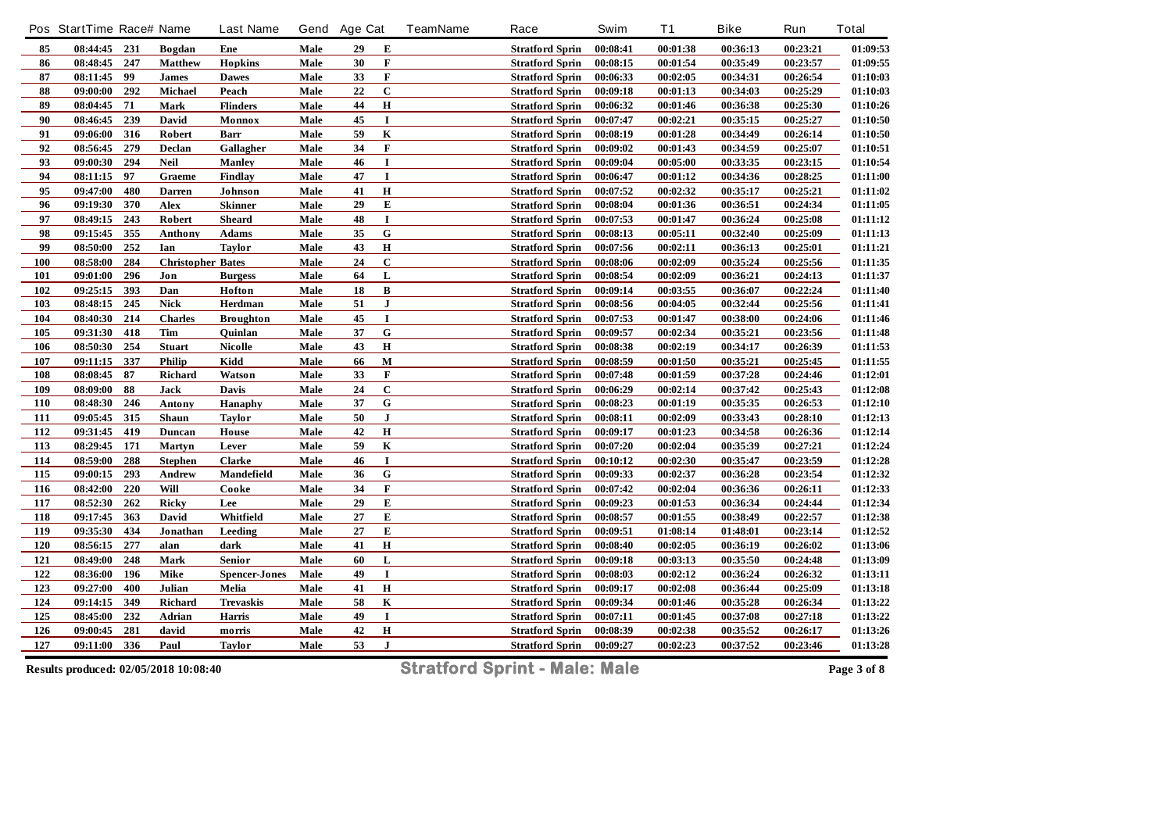|            | Pos StartTime Race# Name |     |                          | <b>Last Name</b>     |      | Gend Age Cat |             | <b>TeamName</b> | Race                   | Swim     | <b>T1</b> | <b>Bike</b> | Run      | <b>Total</b> |
|------------|--------------------------|-----|--------------------------|----------------------|------|--------------|-------------|-----------------|------------------------|----------|-----------|-------------|----------|--------------|
| 85         | 08:44:45 231             |     | <b>Bogdan</b>            | Ene                  | Male | 29           | E           |                 | <b>Stratford Sprin</b> | 00:08:41 | 00:01:38  | 00:36:13    | 00:23:21 | 01:09:53     |
| 86         | 08:48:45                 | 247 | <b>Matthew</b>           | <b>Hopkins</b>       | Male | 30           | F           |                 | <b>Stratford Sprin</b> | 00:08:15 | 00:01:54  | 00:35:49    | 00:23:57 | 01:09:55     |
| ${\bf 87}$ | 08:11:45                 | 99  | <b>James</b>             | <b>Dawes</b>         | Male | 33           | $\mathbf F$ |                 | <b>Stratford Sprin</b> | 00:06:33 | 00:02:05  | 00:34:31    | 00:26:54 | 01:10:03     |
| 88         | 09:00:00                 | 292 | Michael                  | Peach                | Male | 22           | $\bf C$     |                 | <b>Stratford Sprin</b> | 00:09:18 | 00:01:13  | 00:34:03    | 00:25:29 | 01:10:03     |
| 89         | 08:04:45                 | 71  | Mark                     | <b>Flinders</b>      | Male | 44           | $\bf H$     |                 | <b>Stratford Sprin</b> | 00:06:32 | 00:01:46  | 00:36:38    | 00:25:30 | 01:10:26     |
| 90         | 08:46:45                 | 239 | David                    | Monnox               | Male | 45           | $\mathbf I$ |                 | <b>Stratford Sprin</b> | 00:07:47 | 00:02:21  | 00:35:15    | 00:25:27 | 01:10:50     |
| 91         | 09:06:00                 | 316 | Robert                   | Barr                 | Male | 59           | K           |                 | <b>Stratford Sprin</b> | 00:08:19 | 00:01:28  | 00:34:49    | 00:26:14 | 01:10:50     |
| 92         | 08:56:45                 | 279 | Declan                   | Gallagher            | Male | 34           | $\mathbf F$ |                 | <b>Stratford Sprin</b> | 00:09:02 | 00:01:43  | 00:34:59    | 00:25:07 | 01:10:51     |
| 93         | 09:00:30                 | 294 | <b>Neil</b>              | <b>Manley</b>        | Male | 46           | $\mathbf I$ |                 | <b>Stratford Sprin</b> | 00:09:04 | 00:05:00  | 00:33:35    | 00:23:15 | 01:10:54     |
| 94         | 08:11:15                 | 97  | Graeme                   | <b>Findlay</b>       | Male | 47           | $\bf{I}$    |                 | <b>Stratford Sprin</b> | 00:06:47 | 00:01:12  | 00:34:36    | 00:28:25 | 01:11:00     |
| 95         | 09:47:00                 | 480 | <b>Darren</b>            | Johnson              | Male | 41           | $\bf H$     |                 | <b>Stratford Sprin</b> | 00:07:52 | 00:02:32  | 00:35:17    | 00:25:21 | 01:11:02     |
| 96         | 09:19:30                 | 370 | Alex                     | <b>Skinner</b>       | Male | 29           | E           |                 | <b>Stratford Sprin</b> | 00:08:04 | 00:01:36  | 00:36:51    | 00:24:34 | 01:11:05     |
| 97         | 08:49:15                 | 243 | Robert                   | Sheard               | Male | 48           | $\bf{I}$    |                 | <b>Stratford Sprin</b> | 00:07:53 | 00:01:47  | 00:36:24    | 00:25:08 | 01:11:12     |
| 98         | 09:15:45                 | 355 | Anthony                  | <b>Adams</b>         | Male | 35           | ${\bf G}$   |                 | <b>Stratford Sprin</b> | 00:08:13 | 00:05:11  | 00:32:40    | 00:25:09 | 01:11:13     |
| 99         | 08:50:00                 | 252 | Ian                      | <b>Taylor</b>        | Male | 43           | $\bf H$     |                 | <b>Stratford Sprin</b> | 00:07:56 | 00:02:11  | 00:36:13    | 00:25:01 | 01:11:21     |
| <b>100</b> | 08:58:00                 | 284 | <b>Christopher Bates</b> |                      | Male | 24           | $\bf C$     |                 | <b>Stratford Sprin</b> | 00:08:06 | 00:02:09  | 00:35:24    | 00:25:56 | 01:11:35     |
| 101        | 09:01:00                 | 296 | Jon                      | <b>Burgess</b>       | Male | 64           | L           |                 | <b>Stratford Sprin</b> | 00:08:54 | 00:02:09  | 00:36:21    | 00:24:13 | 01:11:37     |
| 102        | 09:25:15                 | 393 | Dan                      | Hofton               | Male | 18           | В           |                 | <b>Stratford Sprin</b> | 00:09:14 | 00:03:55  | 00:36:07    | 00:22:24 | 01:11:40     |
| 103        | 08:48:15                 | 245 | <b>Nick</b>              | Herdman              | Male | 51           | ${\bf J}$   |                 | <b>Stratford Sprin</b> | 00:08:56 | 00:04:05  | 00:32:44    | 00:25:56 | 01:11:41     |
| 104        | 08:40:30                 | 214 | <b>Charles</b>           | <b>Broughton</b>     | Male | 45           | $\mathbf I$ |                 | <b>Stratford Sprin</b> | 00:07:53 | 00:01:47  | 00:38:00    | 00:24:06 | 01:11:46     |
| 105        | 09:31:30                 | 418 | Tim                      | Ouinlan              | Male | 37           | ${\bf G}$   |                 | <b>Stratford Sprin</b> | 00:09:57 | 00:02:34  | 00:35:21    | 00:23:56 | 01:11:48     |
| 106        | 08:50:30                 | 254 | <b>Stuart</b>            | <b>Nicolle</b>       | Male | 43           | $\mathbf H$ |                 | <b>Stratford Sprin</b> | 00:08:38 | 00:02:19  | 00:34:17    | 00:26:39 | 01:11:53     |
| 107        | 09:11:15                 | 337 | Philip                   | Kidd                 | Male | 66           | $\mathbf M$ |                 | <b>Stratford Sprin</b> | 00:08:59 | 00:01:50  | 00:35:21    | 00:25:45 | 01:11:55     |
| 108        | 08:08:45                 | 87  | <b>Richard</b>           | Watson               | Male | 33           | F           |                 | <b>Stratford Sprin</b> | 00:07:48 | 00:01:59  | 00:37:28    | 00:24:46 | 01:12:01     |
| 109        | 08:09:00                 | 88  | Jack                     | Davis                | Male | 24           | $\bf C$     |                 | <b>Stratford Sprin</b> | 00:06:29 | 00:02:14  | 00:37:42    | 00:25:43 | 01:12:08     |
| 110        | 08:48:30                 | 246 | Antony                   | <b>Hanaphy</b>       | Male | 37           | ${\bf G}$   |                 | <b>Stratford Sprin</b> | 00:08:23 | 00:01:19  | 00:35:35    | 00:26:53 | 01:12:10     |
| 111        | 09:05:45                 | 315 | Shaun                    | <b>Taylor</b>        | Male | 50           | ${\bf J}$   |                 | <b>Stratford Sprin</b> | 00:08:11 | 00:02:09  | 00:33:43    | 00:28:10 | 01:12:13     |
| 112        | 09:31:45                 | 419 | Duncan                   | House                | Male | 42           | $\bf H$     |                 | <b>Stratford Sprin</b> | 00:09:17 | 00:01:23  | 00:34:58    | 00:26:36 | 01:12:14     |
| 113        | 08:29:45 171             |     | <b>Martyn</b>            | Lever                | Male | 59           | $\bf K$     |                 | <b>Stratford Sprin</b> | 00:07:20 | 00:02:04  | 00:35:39    | 00:27:21 | 01:12:24     |
| 114        | 08:59:00                 | 288 | <b>Stephen</b>           | Clarke               | Male | 46           | $\bf{I}$    |                 | <b>Stratford Sprin</b> | 00:10:12 | 00:02:30  | 00:35:47    | 00:23:59 | 01:12:28     |
| 115        | 09:00:15                 | 293 | Andrew                   | Mandefield           | Male | 36           | ${\bf G}$   |                 | <b>Stratford Sprin</b> | 00:09:33 | 00:02:37  | 00:36:28    | 00:23:54 | 01:12:32     |
| <b>116</b> | 08:42:00                 | 220 | Will                     | Cooke                | Male | 34           | $\mathbf F$ |                 | <b>Stratford Sprin</b> | 00:07:42 | 00:02:04  | 00:36:36    | 00:26:11 | 01:12:33     |
| 117        | 08:52:30                 | 262 | <b>Ricky</b>             | Lee                  | Male | 29           | E           |                 | <b>Stratford Sprin</b> | 00:09:23 | 00:01:53  | 00:36:34    | 00:24:44 | 01:12:34     |
| 118        | 09:17:45                 | 363 | David                    | Whitfield            | Male | 27           | ${\bf E}$   |                 | <b>Stratford Sprin</b> | 00:08:57 | 00:01:55  | 00:38:49    | 00:22:57 | 01:12:38     |
| 119        | 09:35:30                 | 434 | Jonathan                 | Leeding              | Male | 27           | ${\bf E}$   |                 | <b>Stratford Sprin</b> | 00:09:51 | 01:08:14  | 01:48:01    | 00:23:14 | 01:12:52     |
| 120        | 08:56:15                 | 277 | alan                     | dark                 | Male | 41           | $\bf H$     |                 | <b>Stratford Sprin</b> | 00:08:40 | 00:02:05  | 00:36:19    | 00:26:02 | 01:13:06     |
| 121        | 08:49:00                 | 248 | Mark                     | <b>Senior</b>        | Male | 60           | L           |                 | <b>Stratford Sprin</b> | 00:09:18 | 00:03:13  | 00:35:50    | 00:24:48 | 01:13:09     |
| 122        | 08:36:00                 | 196 | Mike                     | <b>Spencer-Jones</b> | Male | 49           | I           |                 | <b>Stratford Sprin</b> | 00:08:03 | 00:02:12  | 00:36:24    | 00:26:32 | 01:13:11     |
| 123        | 09:27:00                 | 400 | Julian                   | Melia                | Male | 41           | $\bf H$     |                 | <b>Stratford Sprin</b> | 00:09:17 | 00:02:08  | 00:36:44    | 00:25:09 | 01:13:18     |
| 124        | 09:14:15                 | 349 | <b>Richard</b>           | <b>Trevaskis</b>     | Male | 58           | $\bf K$     |                 | <b>Stratford Sprin</b> | 00:09:34 | 00:01:46  | 00:35:28    | 00:26:34 | 01:13:22     |
| 125        | 08:45:00                 | 232 | Adrian                   | Harris               | Male | 49           | $\bf{I}$    |                 | <b>Stratford Sprin</b> | 00:07:11 | 00:01:45  | 00:37:08    | 00:27:18 | 01:13:22     |
| 126        | 09:00:45                 | 281 | david                    | morris               | Male | 42           | $\mathbf H$ |                 | <b>Stratford Sprin</b> | 00:08:39 | 00:02:38  | 00:35:52    | 00:26:17 | 01:13:26     |
| 127        | 09:11:00                 | 336 | Paul                     | <b>Taylor</b>        | Male | 53           | ${\bf J}$   |                 | <b>Stratford Sprin</b> | 00:09:27 | 00:02:23  | 00:37:52    | 00:23:46 | 01:13:28     |
|            |                          |     |                          |                      |      |              |             |                 |                        |          |           |             |          |              |

**Results produced: 02/05/2018 10:08:40 Stratford Sprint - Male: Male Page 3 of 8**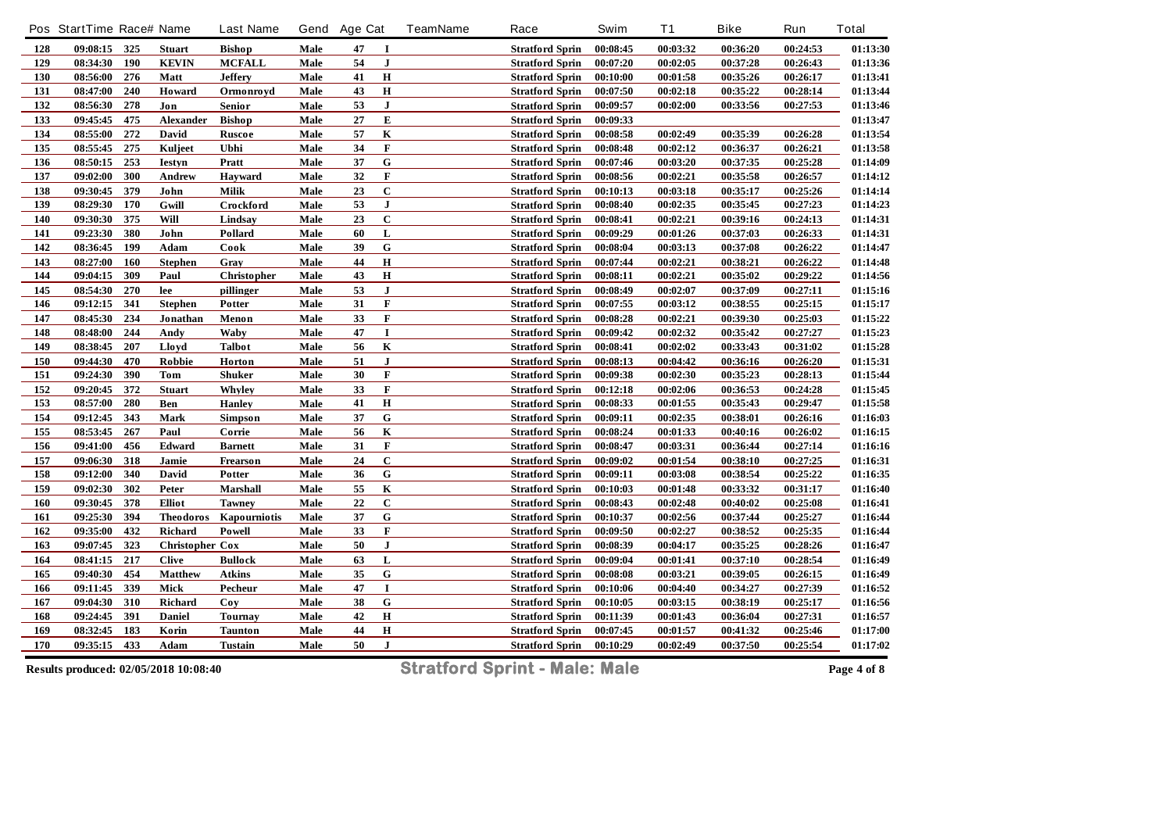|     | Pos StartTime Race# Name |     |                        | <b>Last Name</b> | Gend | <b>Age Cat</b> |                | <b>TeamName</b> | Race                   | Swim     | <b>T1</b> | <b>Bike</b> | Run      | <b>Total</b> |
|-----|--------------------------|-----|------------------------|------------------|------|----------------|----------------|-----------------|------------------------|----------|-----------|-------------|----------|--------------|
| 128 | 09:08:15 325             |     | <b>Stuart</b>          | <b>Bishop</b>    | Male | 47             | $\bf{I}$       |                 | <b>Stratford Sprin</b> | 00:08:45 | 00:03:32  | 00:36:20    | 00:24:53 | 01:13:30     |
| 129 | 08:34:30                 | 190 | <b>KEVIN</b>           | <b>MCFALL</b>    | Male | 54             | J              |                 | <b>Stratford Sprin</b> | 00:07:20 | 00:02:05  | 00:37:28    | 00:26:43 | 01:13:36     |
| 130 | 08:56:00                 | 276 | Matt                   | <b>Jeffery</b>   | Male | 41             | $\mathbf H$    |                 | <b>Stratford Sprin</b> | 00:10:00 | 00:01:58  | 00:35:26    | 00:26:17 | 01:13:41     |
| 131 | 08:47:00                 | 240 | Howard                 | Ormonroyd        | Male | 43             | $\bf H$        |                 | <b>Stratford Sprin</b> | 00:07:50 | 00:02:18  | 00:35:22    | 00:28:14 | 01:13:44     |
| 132 | 08:56:30                 | 278 | Jon                    | Senior           | Male | 53             | ${\bf J}$      |                 | <b>Stratford Sprin</b> | 00:09:57 | 00:02:00  | 00:33:56    | 00:27:53 | 01:13:46     |
| 133 | 09:45:45                 | 475 | <b>Alexander</b>       | <b>Bishop</b>    | Male | 27             | ${\bf E}$      |                 | <b>Stratford Sprin</b> | 00:09:33 |           |             |          | 01:13:47     |
| 134 | 08:55:00                 | 272 | David                  | Ruscoe           | Male | 57             | $\mathbf K$    |                 | <b>Stratford Sprin</b> | 00:08:58 | 00:02:49  | 00:35:39    | 00:26:28 | 01:13:54     |
| 135 | 08:55:45                 | 275 | Kuljeet                | Ubhi             | Male | 34             | $\mathbf F$    |                 | <b>Stratford Sprin</b> | 00:08:48 | 00:02:12  | 00:36:37    | 00:26:21 | 01:13:58     |
| 136 | 08:50:15                 | 253 | <b>Iestyn</b>          | Pratt            | Male | 37             | ${\bf G}$      |                 | <b>Stratford Sprin</b> | 00:07:46 | 00:03:20  | 00:37:35    | 00:25:28 | 01:14:09     |
| 137 | 09:02:00                 | 300 | Andrew                 | <b>Hayward</b>   | Male | 32             | $\mathbf F$    |                 | <b>Stratford Sprin</b> | 00:08:56 | 00:02:21  | 00:35:58    | 00:26:57 | 01:14:12     |
| 138 | 09:30:45                 | 379 | John                   | Milik            | Male | 23             | $\mathbf C$    |                 | <b>Stratford Sprin</b> | 00:10:13 | 00:03:18  | 00:35:17    | 00:25:26 | 01:14:14     |
| 139 | 08:29:30                 | 170 | Gwill                  | Crockford        | Male | 53             | $\bf J$        |                 | <b>Stratford Sprin</b> | 00:08:40 | 00:02:35  | 00:35:45    | 00:27:23 | 01:14:23     |
| 140 | 09:30:30                 | 375 | Will                   | Lindsay          | Male | 23             | $\mathbf C$    |                 | <b>Stratford Sprin</b> | 00:08:41 | 00:02:21  | 00:39:16    | 00:24:13 | 01:14:31     |
| 141 | 09:23:30                 | 380 | John                   | Pollard          | Male | 60             | L              |                 | <b>Stratford Sprin</b> | 00:09:29 | 00:01:26  | 00:37:03    | 00:26:33 | 01:14:31     |
| 142 | 08:36:45                 | 199 | Adam                   | Cook             | Male | 39             | ${\bf G}$      |                 | <b>Stratford Sprin</b> | 00:08:04 | 00:03:13  | 00:37:08    | 00:26:22 | 01:14:47     |
| 143 | $08:27:00$ 160           |     | <b>Stephen</b>         | Gray             | Male | 44             | $\bf H$        |                 | <b>Stratford Sprin</b> | 00:07:44 | 00:02:21  | 00:38:21    | 00:26:22 | 01:14:48     |
| 144 | 09:04:15                 | 309 | Paul                   | Christopher      | Male | 43             | $\mathbf H$    |                 | <b>Stratford Sprin</b> | 00:08:11 | 00:02:21  | 00:35:02    | 00:29:22 | 01:14:56     |
| 145 | 08:54:30                 | 270 | lee                    | pillinger        | Male | 53             | $\bf J$        |                 | <b>Stratford Sprin</b> | 00:08:49 | 00:02:07  | 00:37:09    | 00:27:11 | 01:15:16     |
| 146 | 09:12:15                 | 341 | <b>Stephen</b>         | Potter           | Male | 31             | $\mathbf F$    |                 | <b>Stratford Sprin</b> | 00:07:55 | 00:03:12  | 00:38:55    | 00:25:15 | 01:15:17     |
| 147 | 08:45:30                 | 234 | Jonathan               | Menon            | Male | 33             | $\mathbf F$    |                 | <b>Stratford Sprin</b> | 00:08:28 | 00:02:21  | 00:39:30    | 00:25:03 | 01:15:22     |
| 148 | 08:48:00                 | 244 | Andy                   | Waby             | Male | 47             | $\mathbf I$    |                 | <b>Stratford Sprin</b> | 00:09:42 | 00:02:32  | 00:35:42    | 00:27:27 | 01:15:23     |
| 149 | 08:38:45                 | 207 | Lloyd                  | <b>Talbot</b>    | Male | 56             | $\bf K$        |                 | <b>Stratford Sprin</b> | 00:08:41 | 00:02:02  | 00:33:43    | 00:31:02 | 01:15:28     |
| 150 | 09:44:30                 | 470 | Robbie                 | Horton           | Male | 51             | $\mathbf{J}$   |                 | <b>Stratford Sprin</b> | 00:08:13 | 00:04:42  | 00:36:16    | 00:26:20 | 01:15:31     |
| 151 | 09:24:30                 | 390 | <b>Tom</b>             | <b>Shuker</b>    | Male | 30             | F              |                 | <b>Stratford Sprin</b> | 00:09:38 | 00:02:30  | 00:35:23    | 00:28:13 | 01:15:44     |
| 152 | 09:20:45                 | 372 | <b>Stuart</b>          | Whyley           | Male | 33             | F              |                 | <b>Stratford Sprin</b> | 00:12:18 | 00:02:06  | 00:36:53    | 00:24:28 | 01:15:45     |
| 153 | 08:57:00                 | 280 | Ben                    | <b>Hanley</b>    | Male | 41             | $\bf H$        |                 | <b>Stratford Sprin</b> | 00:08:33 | 00:01:55  | 00:35:43    | 00:29:47 | 01:15:58     |
| 154 | 09:12:45                 | 343 | Mark                   | <b>Simpson</b>   | Male | 37             | $\overline{G}$ |                 | <b>Stratford Sprin</b> | 00:09:11 | 00:02:35  | 00:38:01    | 00:26:16 | 01:16:03     |
| 155 | 08:53:45                 | 267 | Paul                   | Corrie           | Male | 56             | $\bf K$        |                 | <b>Stratford Sprin</b> | 00:08:24 | 00:01:33  | 00:40:16    | 00:26:02 | 01:16:15     |
| 156 | 09:41:00                 | 456 | Edward                 | <b>Barnett</b>   | Male | 31             | $\mathbf F$    |                 | <b>Stratford Sprin</b> | 00:08:47 | 00:03:31  | 00:36:44    | 00:27:14 | 01:16:16     |
| 157 | 09:06:30                 | 318 | Jamie                  | Frearson         | Male | 24             | $\mathbf C$    |                 | <b>Stratford Sprin</b> | 00:09:02 | 00:01:54  | 00:38:10    | 00:27:25 | 01:16:31     |
| 158 | 09:12:00                 | 340 | David                  | Potter           | Male | 36             | ${\bf G}$      |                 | <b>Stratford Sprin</b> | 00:09:11 | 00:03:08  | 00:38:54    | 00:25:22 | 01:16:35     |
| 159 | 09:02:30                 | 302 | Peter                  | <b>Marshall</b>  | Male | 55             | $\mathbf K$    |                 | <b>Stratford Sprin</b> | 00:10:03 | 00:01:48  | 00:33:32    | 00:31:17 | 01:16:40     |
| 160 | 09:30:45                 | 378 | <b>Elliot</b>          | <b>Tawney</b>    | Male | 22             | $\mathbf C$    |                 | <b>Stratford Sprin</b> | 00:08:43 | 00:02:48  | 00:40:02    | 00:25:08 | 01:16:41     |
| 161 | 09:25:30                 | 394 | <b>Theodoros</b>       | Kapourniotis     | Male | 37             | ${\bf G}$      |                 | <b>Stratford Sprin</b> | 00:10:37 | 00:02:56  | 00:37:44    | 00:25:27 | 01:16:44     |
| 162 | 09:35:00                 | 432 | Richard                | Powell           | Male | 33             | $\mathbf F$    |                 | <b>Stratford Sprin</b> | 00:09:50 | 00:02:27  | 00:38:52    | 00:25:35 | 01:16:44     |
| 163 | 09:07:45                 | 323 | <b>Christopher Cox</b> |                  | Male | 50             | ${\bf J}$      |                 | <b>Stratford Sprin</b> | 00:08:39 | 00:04:17  | 00:35:25    | 00:28:26 | 01:16:47     |
| 164 | 08:41:15                 | 217 | <b>Clive</b>           | <b>Bullock</b>   | Male | 63             | L              |                 | <b>Stratford Sprin</b> | 00:09:04 | 00:01:41  | 00:37:10    | 00:28:54 | 01:16:49     |
| 165 | 09:40:30                 | 454 | <b>Matthew</b>         | <b>Atkins</b>    | Male | 35             | ${\bf G}$      |                 | <b>Stratford Sprin</b> | 00:08:08 | 00:03:21  | 00:39:05    | 00:26:15 | 01:16:49     |
| 166 | 09:11:45                 | 339 | Mick                   | Pecheur          | Male | 47             | $\bf{I}$       |                 | <b>Stratford Sprin</b> | 00:10:06 | 00:04:40  | 00:34:27    | 00:27:39 | 01:16:52     |
| 167 | 09:04:30                 | 310 | Richard                | Coy              | Male | 38             | ${\bf G}$      |                 | <b>Stratford Sprin</b> | 00:10:05 | 00:03:15  | 00:38:19    | 00:25:17 | 01:16:56     |
| 168 | 09:24:45                 | 391 | <b>Daniel</b>          | <b>Tournay</b>   | Male | 42             | $\bf H$        |                 | <b>Stratford Sprin</b> | 00:11:39 | 00:01:43  | 00:36:04    | 00:27:31 | 01:16:57     |
| 169 | 08:32:45                 | 183 | Korin                  | <b>Taunton</b>   | Male | 44             | $\mathbf H$    |                 | <b>Stratford Sprin</b> | 00:07:45 | 00:01:57  | 00:41:32    | 00:25:46 | 01:17:00     |
| 170 | 09:35:15 433             |     | Adam                   | <b>Tustain</b>   | Male | 50             | $\mathbf{J}$   |                 | <b>Stratford Sprin</b> | 00:10:29 | 00:02:49  | 00:37:50    | 00:25:54 | 01:17:02     |
|     |                          |     |                        |                  |      |                |                |                 |                        |          |           |             |          |              |

**Results produced: 02/05/2018 10:08:40 Stratford Sprint - Male: Male Page 4 of 8**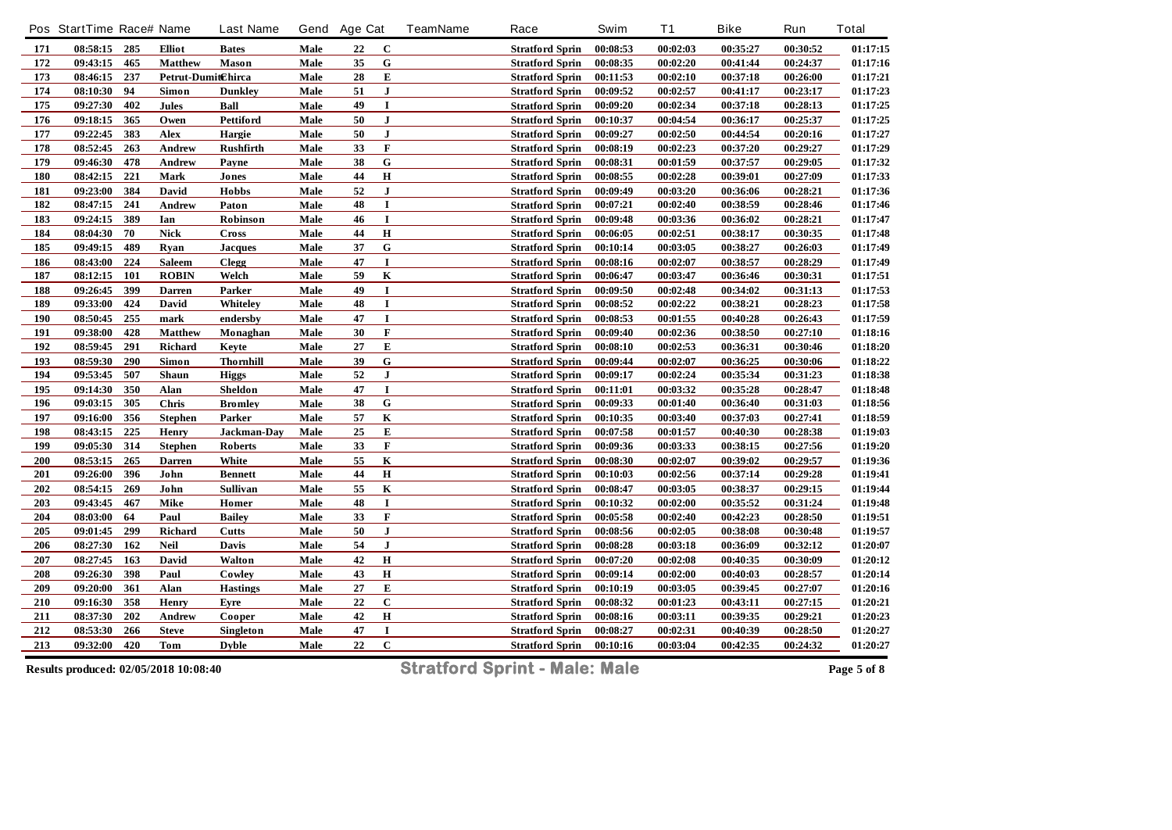|     | Pos StartTime Race# Name |     |                    | <b>Last Name</b> |      | Gend Age Cat |                         | TeamName | Race                   | Swim     | <b>T1</b> | <b>Bike</b> | Run      | <b>Total</b> |
|-----|--------------------------|-----|--------------------|------------------|------|--------------|-------------------------|----------|------------------------|----------|-----------|-------------|----------|--------------|
| 171 | 08:58:15 285             |     | <b>Elliot</b>      | <b>Bates</b>     | Male | 22           | $\mathbf{C}$            |          | <b>Stratford Sprin</b> | 00:08:53 | 00:02:03  | 00:35:27    | 00:30:52 | 01:17:15     |
| 172 | 09:43:15                 | 465 | <b>Matthew</b>     | <b>Mason</b>     | Male | 35           | ${\bf G}$               |          | <b>Stratford Sprin</b> | 00:08:35 | 00:02:20  | 00:41:44    | 00:24:37 | 01:17:16     |
| 173 | 08:46:15                 | 237 | Petrut-DumitChirca |                  | Male | 28           | ${\bf E}$               |          | <b>Stratford Sprin</b> | 00:11:53 | 00:02:10  | 00:37:18    | 00:26:00 | 01:17:21     |
| 174 | 08:10:30                 | 94  | Simon              | <b>Dunkley</b>   | Male | 51           | ${\bf J}$               |          | <b>Stratford Sprin</b> | 00:09:52 | 00:02:57  | 00:41:17    | 00:23:17 | 01:17:23     |
| 175 | 09:27:30                 | 402 | Jules              | Ball             | Male | 49           | $\bf{I}$                |          | <b>Stratford Sprin</b> | 00:09:20 | 00:02:34  | 00:37:18    | 00:28:13 | 01:17:25     |
| 176 | 09:18:15                 | 365 | Owen               | <b>Pettiford</b> | Male | 50           | $\mathbf{J}$            |          | <b>Stratford Sprin</b> | 00:10:37 | 00:04:54  | 00:36:17    | 00:25:37 | 01:17:25     |
| 177 | 09:22:45                 | 383 | Alex               | Hargie           | Male | 50           | ${\bf J}$               |          | <b>Stratford Sprin</b> | 00:09:27 | 00:02:50  | 00:44:54    | 00:20:16 | 01:17:27     |
| 178 | 08:52:45                 | 263 | Andrew             | <b>Rushfirth</b> | Male | 33           | $\mathbf F$             |          | <b>Stratford Sprin</b> | 00:08:19 | 00:02:23  | 00:37:20    | 00:29:27 | 01:17:29     |
| 179 | 09:46:30                 | 478 | <b>Andrew</b>      | Payne            | Male | 38           | $\mathbf G$             |          | <b>Stratford Sprin</b> | 00:08:31 | 00:01:59  | 00:37:57    | 00:29:05 | 01:17:32     |
| 180 | 08:42:15                 | 221 | Mark               | Jones            | Male | 44           | $\bf H$                 |          | <b>Stratford Sprin</b> | 00:08:55 | 00:02:28  | 00:39:01    | 00:27:09 | 01:17:33     |
| 181 | 09:23:00                 | 384 | David              | <b>Hobbs</b>     | Male | 52           | $\mathbf{J}$            |          | <b>Stratford Sprin</b> | 00:09:49 | 00:03:20  | 00:36:06    | 00:28:21 | 01:17:36     |
| 182 | 08:47:15                 | 241 | Andrew             | Paton            | Male | 48           | $\mathbf I$             |          | <b>Stratford Sprin</b> | 00:07:21 | 00:02:40  | 00:38:59    | 00:28:46 | 01:17:46     |
| 183 | 09:24:15                 | 389 | Ian                | Robinson         | Male | 46           | $\bf{I}$                |          | <b>Stratford Sprin</b> | 00:09:48 | 00:03:36  | 00:36:02    | 00:28:21 | 01:17:47     |
| 184 | 08:04:30                 | 70  | <b>Nick</b>        | Cross            | Male | 44           | $\bf H$                 |          | <b>Stratford Sprin</b> | 00:06:05 | 00:02:51  | 00:38:17    | 00:30:35 | 01:17:48     |
| 185 | 09:49:15                 | 489 | Ryan               | <b>Jacques</b>   | Male | 37           | ${\bf G}$               |          | <b>Stratford Sprin</b> | 00:10:14 | 00:03:05  | 00:38:27    | 00:26:03 | 01:17:49     |
| 186 | 08:43:00                 | 224 | Saleem             | <b>Clegg</b>     | Male | 47           | $\mathbf I$             |          | <b>Stratford Sprin</b> | 00:08:16 | 00:02:07  | 00:38:57    | 00:28:29 | 01:17:49     |
| 187 | 08:12:15                 | 101 | <b>ROBIN</b>       | Welch            | Male | 59           | $\bf K$                 |          | <b>Stratford Sprin</b> | 00:06:47 | 00:03:47  | 00:36:46    | 00:30:31 | 01:17:51     |
| 188 | 09:26:45                 | 399 | Darren             | Parker           | Male | 49           | $\mathbf I$             |          | <b>Stratford Sprin</b> | 00:09:50 | 00:02:48  | 00:34:02    | 00:31:13 | 01:17:53     |
| 189 | 09:33:00                 | 424 | David              | Whiteley         | Male | 48           | $\mathbf I$             |          | <b>Stratford Sprin</b> | 00:08:52 | 00:02:22  | 00:38:21    | 00:28:23 | 01:17:58     |
| 190 | 08:50:45                 | 255 | mark               | endersby         | Male | 47           | $\mathbf I$             |          | <b>Stratford Sprin</b> | 00:08:53 | 00:01:55  | 00:40:28    | 00:26:43 | 01:17:59     |
| 191 | 09:38:00                 | 428 | <b>Matthew</b>     | Monaghan         | Male | 30           | F                       |          | <b>Stratford Sprin</b> | 00:09:40 | 00:02:36  | 00:38:50    | 00:27:10 | 01:18:16     |
| 192 | 08:59:45                 | 291 | Richard            | Keyte            | Male | 27           | E                       |          | <b>Stratford Sprin</b> | 00:08:10 | 00:02:53  | 00:36:31    | 00:30:46 | 01:18:20     |
| 193 | 08:59:30                 | 290 | Simon              | <b>Thornhill</b> | Male | 39           | ${\bf G}$               |          | <b>Stratford Sprin</b> | 00:09:44 | 00:02:07  | 00:36:25    | 00:30:06 | 01:18:22     |
| 194 | 09:53:45                 | 507 | Shaun              | <b>Higgs</b>     | Male | 52           | ${\bf J}$               |          | <b>Stratford Sprin</b> | 00:09:17 | 00:02:24  | 00:35:34    | 00:31:23 | 01:18:38     |
| 195 | 09:14:30                 | 350 | Alan               | Sheldon          | Male | 47           | $\mathbf I$             |          | <b>Stratford Sprin</b> | 00:11:01 | 00:03:32  | 00:35:28    | 00:28:47 | 01:18:48     |
| 196 | 09:03:15                 | 305 | <b>Chris</b>       | <b>Bromley</b>   | Male | 38           | $\mathbf G$             |          | <b>Stratford Sprin</b> | 00:09:33 | 00:01:40  | 00:36:40    | 00:31:03 | 01:18:56     |
| 197 | 09:16:00                 | 356 | <b>Stephen</b>     | Parker           | Male | 57           | K                       |          | <b>Stratford Sprin</b> | 00:10:35 | 00:03:40  | 00:37:03    | 00:27:41 | 01:18:59     |
| 198 | 08:43:15                 | 225 | <b>Henry</b>       | Jackman-Day      | Male | 25           | ${\bf E}$               |          | <b>Stratford Sprin</b> | 00:07:58 | 00:01:57  | 00:40:30    | 00:28:38 | 01:19:03     |
| 199 | 09:05:30                 | 314 | <b>Stephen</b>     | Roberts          | Male | 33           | $\mathbf F$             |          | <b>Stratford Sprin</b> | 00:09:36 | 00:03:33  | 00:38:15    | 00:27:56 | 01:19:20     |
| 200 | 08:53:15                 | 265 | <b>Darren</b>      | White            | Male | 55           | $\bf K$                 |          | <b>Stratford Sprin</b> | 00:08:30 | 00:02:07  | 00:39:02    | 00:29:57 | 01:19:36     |
| 201 | 09:26:00                 | 396 | John               | <b>Bennett</b>   | Male | 44           | $\mathbf H$             |          | <b>Stratford Sprin</b> | 00:10:03 | 00:02:56  | 00:37:14    | 00:29:28 | 01:19:41     |
| 202 | 08:54:15                 | 269 | John               | Sullivan         | Male | 55           | $\overline{\mathbf{K}}$ |          | <b>Stratford Sprin</b> | 00:08:47 | 00:03:05  | 00:38:37    | 00:29:15 | 01:19:44     |
| 203 | 09:43:45                 | 467 | Mike               | Homer            | Male | 48           | $\bf{I}$                |          | <b>Stratford Sprin</b> | 00:10:32 | 00:02:00  | 00:35:52    | 00:31:24 | 01:19:48     |
| 204 | 08:03:00                 | 64  | Paul               | <b>Bailey</b>    | Male | 33           | $\mathbf F$             |          | <b>Stratford Sprin</b> | 00:05:58 | 00:02:40  | 00:42:23    | 00:28:50 | 01:19:51     |
| 205 | 09:01:45                 | 299 | <b>Richard</b>     | <b>Cutts</b>     | Male | 50           | $\mathbf{J}$            |          | <b>Stratford Sprin</b> | 00:08:56 | 00:02:05  | 00:38:08    | 00:30:48 | 01:19:57     |
| 206 | 08:27:30 162             |     | Neil               | Davis            | Male | 54           | $\bf J$                 |          | <b>Stratford Sprin</b> | 00:08:28 | 00:03:18  | 00:36:09    | 00:32:12 | 01:20:07     |
| 207 | 08:27:45                 | 163 | David              | Walton           | Male | 42           | $\bf H$                 |          | <b>Stratford Sprin</b> | 00:07:20 | 00:02:08  | 00:40:35    | 00:30:09 | 01:20:12     |
| 208 | 09:26:30                 | 398 | Paul               | Cowley           | Male | 43           | $\bf H$                 |          | <b>Stratford Sprin</b> | 00:09:14 | 00:02:00  | 00:40:03    | 00:28:57 | 01:20:14     |
| 209 | 09:20:00                 | 361 | Alan               | <b>Hastings</b>  | Male | 27           | ${\bf E}$               |          | <b>Stratford Sprin</b> | 00:10:19 | 00:03:05  | 00:39:45    | 00:27:07 | 01:20:16     |
| 210 | 09:16:30                 | 358 | <b>Henry</b>       | Eyre             | Male | 22           | $\mathbf C$             |          | <b>Stratford Sprin</b> | 00:08:32 | 00:01:23  | 00:43:11    | 00:27:15 | 01:20:21     |
| 211 | 08:37:30                 | 202 | Andrew             | Cooper           | Male | 42           | $\bf H$                 |          | <b>Stratford Sprin</b> | 00:08:16 | 00:03:11  | 00:39:35    | 00:29:21 | 01:20:23     |
| 212 | 08:53:30                 | 266 | <b>Steve</b>       | Singleton        | Male | 47           | 1                       |          | <b>Stratford Sprin</b> | 00:08:27 | 00:02:31  | 00:40:39    | 00:28:50 | 01:20:27     |
| 213 | 09:32:00                 | 420 | Tom                | <b>Dyble</b>     | Male | 22           | $\mathbf C$             |          | <b>Stratford Sprin</b> | 00:10:16 | 00:03:04  | 00:42:35    | 00:24:32 | 01:20:27     |

Results produced: 02/05/2018 10:08:40 **Stratford Sprint - Male: Male** Page 5 of 8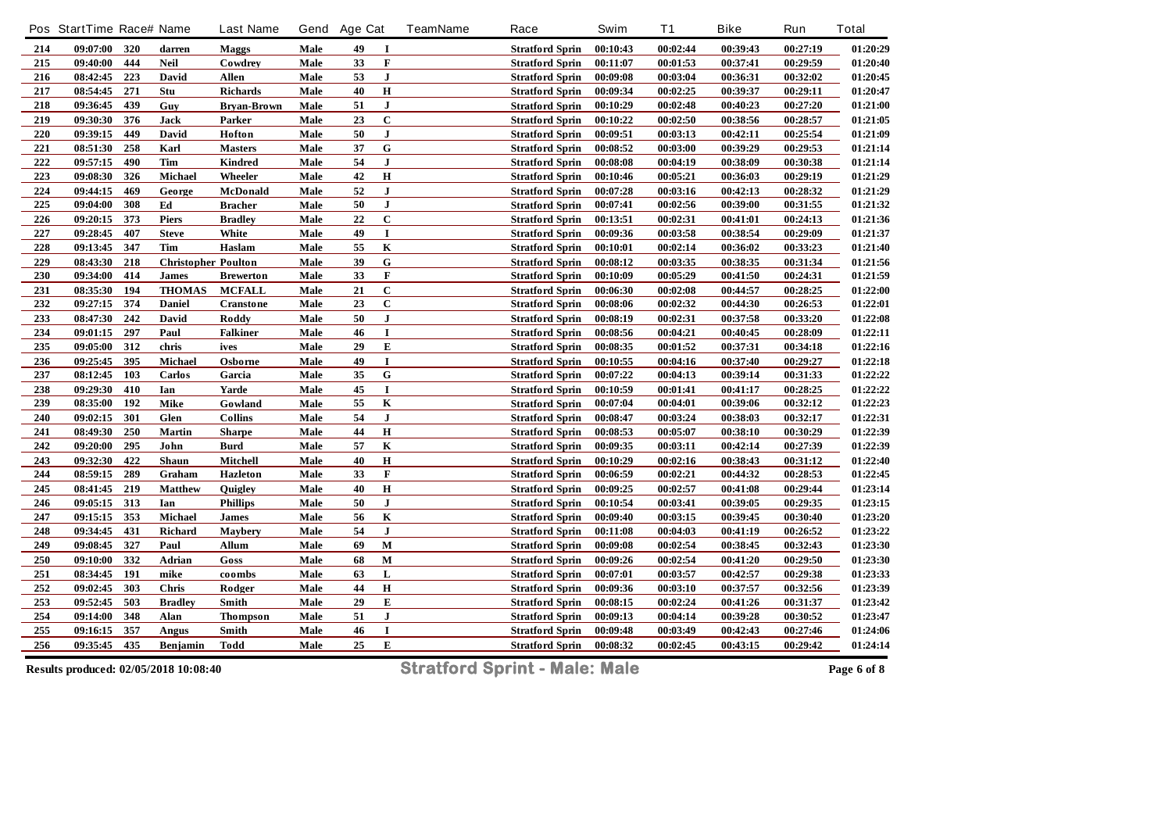|     | Pos StartTime Race# Name |       |                            | <b>Last Name</b> |      | Gend Age Cat |                | <b>TeamName</b> | Race                   | Swim     | <b>T1</b> | <b>Bike</b> | Run      | <b>Total</b> |
|-----|--------------------------|-------|----------------------------|------------------|------|--------------|----------------|-----------------|------------------------|----------|-----------|-------------|----------|--------------|
| 214 | 09:07:00                 | 320   | darren                     | <b>Maggs</b>     | Male | 49           | 1              |                 | <b>Stratford Sprin</b> | 00:10:43 | 00:02:44  | 00:39:43    | 00:27:19 | 01:20:29     |
| 215 | 09:40:00                 | 444   | <b>Neil</b>                | Cowdrey          | Male | 33           | $\mathbf F$    |                 | <b>Stratford Sprin</b> | 00:11:07 | 00:01:53  | 00:37:41    | 00:29:59 | 01:20:40     |
| 216 | 08:42:45                 | 223   | David                      | <b>Allen</b>     | Male | 53           | $\bf J$        |                 | <b>Stratford Sprin</b> | 00:09:08 | 00:03:04  | 00:36:31    | 00:32:02 | 01:20:45     |
| 217 | 08:54:45                 | 271   | Stu                        | Richards         | Male | 40           | $\bf H$        |                 | <b>Stratford Sprin</b> | 00:09:34 | 00:02:25  | 00:39:37    | 00:29:11 | 01:20:47     |
| 218 | 09:36:45                 | 439   | Guy                        | Bryan-Brown      | Male | 51           | $\mathbf{J}$   |                 | <b>Stratford Sprin</b> | 00:10:29 | 00:02:48  | 00:40:23    | 00:27:20 | 01:21:00     |
| 219 | 09:30:30                 | 376   | Jack                       | Parker           | Male | 23           | $\mathbf C$    |                 | <b>Stratford Sprin</b> | 00:10:22 | 00:02:50  | 00:38:56    | 00:28:57 | 01:21:05     |
| 220 | 09:39:15                 | 449   | David                      | Hofton           | Male | 50           | $\mathbf J$    |                 | <b>Stratford Sprin</b> | 00:09:51 | 00:03:13  | 00:42:11    | 00:25:54 | 01:21:09     |
| 221 | 08:51:30                 | 258   | Karl                       | <b>Masters</b>   | Male | 37           | ${\bf G}$      |                 | <b>Stratford Sprin</b> | 00:08:52 | 00:03:00  | 00:39:29    | 00:29:53 | 01:21:14     |
| 222 | 09:57:15                 | 490   | Tim                        | <b>Kindred</b>   | Male | 54           | ${\bf J}$      |                 | <b>Stratford Sprin</b> | 00:08:08 | 00:04:19  | 00:38:09    | 00:30:38 | 01:21:14     |
| 223 | 09:08:30                 | 326   | Michael                    | Wheeler          | Male | 42           | $\bf H$        |                 | <b>Stratford Sprin</b> | 00:10:46 | 00:05:21  | 00:36:03    | 00:29:19 | 01:21:29     |
| 224 | 09:44:15                 | 469   | George                     | McDonald         | Male | 52           | $\mathbf{J}$   |                 | <b>Stratford Sprin</b> | 00:07:28 | 00:03:16  | 00:42:13    | 00:28:32 | 01:21:29     |
| 225 | 09:04:00                 | 308   | Ed                         | <b>Bracher</b>   | Male | 50           | ${\bf J}$      |                 | <b>Stratford Sprin</b> | 00:07:41 | 00:02:56  | 00:39:00    | 00:31:55 | 01:21:32     |
| 226 | 09:20:15                 | 373   | <b>Piers</b>               | <b>Bradley</b>   | Male | 22           | $\mathbf C$    |                 | <b>Stratford Sprin</b> | 00:13:51 | 00:02:31  | 00:41:01    | 00:24:13 | 01:21:36     |
| 227 | 09:28:45                 | 407   | <b>Steve</b>               | White            | Male | 49           | $\mathbf I$    |                 | <b>Stratford Sprin</b> | 00:09:36 | 00:03:58  | 00:38:54    | 00:29:09 | 01:21:37     |
| 228 | 09:13:45                 | 347   | Tim                        | Haslam           | Male | 55           | $\mathbf K$    |                 | <b>Stratford Sprin</b> | 00:10:01 | 00:02:14  | 00:36:02    | 00:33:23 | 01:21:40     |
| 229 | 08:43:30                 | 218   | <b>Christopher Poulton</b> |                  | Male | 39           | $\overline{G}$ |                 | <b>Stratford Sprin</b> | 00:08:12 | 00:03:35  | 00:38:35    | 00:31:34 | 01:21:56     |
| 230 | 09:34:00                 | 414   | <b>James</b>               | <b>Brewerton</b> | Male | 33           | $\mathbf F$    |                 | <b>Stratford Sprin</b> | 00:10:09 | 00:05:29  | 00:41:50    | 00:24:31 | 01:21:59     |
| 231 | 08:35:30                 | 194   | <b>THOMAS</b>              | <b>MCFALL</b>    | Male | 21           | $\mathbf C$    |                 | <b>Stratford Sprin</b> | 00:06:30 | 00:02:08  | 00:44:57    | 00:28:25 | 01:22:00     |
| 232 | 09:27:15                 | 374   | <b>Daniel</b>              | Cranstone        | Male | 23           | $\mathbf C$    |                 | <b>Stratford Sprin</b> | 00:08:06 | 00:02:32  | 00:44:30    | 00:26:53 | 01:22:01     |
| 233 | 08:47:30                 | 242   | David                      | Roddy            | Male | 50           | ${\bf J}$      |                 | <b>Stratford Sprin</b> | 00:08:19 | 00:02:31  | 00:37:58    | 00:33:20 | 01:22:08     |
| 234 | 09:01:15                 | 297   | Paul                       | <b>Falkiner</b>  | Male | 46           | $\mathbf I$    |                 | <b>Stratford Sprin</b> | 00:08:56 | 00:04:21  | 00:40:45    | 00:28:09 | 01:22:11     |
| 235 | 09:05:00                 | 312   | chris                      | ives             | Male | 29           | E              |                 | <b>Stratford Sprin</b> | 00:08:35 | 00:01:52  | 00:37:31    | 00:34:18 | 01:22:16     |
| 236 | 09:25:45                 | 395   | Michael                    | Osborne          | Male | 49           | $\mathbf I$    |                 | <b>Stratford Sprin</b> | 00:10:55 | 00:04:16  | 00:37:40    | 00:29:27 | 01:22:18     |
| 237 | 08:12:45                 | 103   | Carlos                     | Garcia           | Male | 35           | ${\bf G}$      |                 | <b>Stratford Sprin</b> | 00:07:22 | 00:04:13  | 00:39:14    | 00:31:33 | 01:22:22     |
| 238 | 09:29:30                 | 410   | Ian                        | Yarde            | Male | 45           | $\bf{I}$       |                 | <b>Stratford Sprin</b> | 00:10:59 | 00:01:41  | 00:41:17    | 00:28:25 | 01:22:22     |
| 239 | 08:35:00                 | 192   | Mike                       | Gowland          | Male | 55           | K              |                 | <b>Stratford Sprin</b> | 00:07:04 | 00:04:01  | 00:39:06    | 00:32:12 | 01:22:23     |
| 240 | 09:02:15                 | 301   | Glen                       | <b>Collins</b>   | Male | 54           | $\mathbf{J}$   |                 | <b>Stratford Sprin</b> | 00:08:47 | 00:03:24  | 00:38:03    | 00:32:17 | 01:22:31     |
| 241 | 08:49:30                 | 250   | Martin                     | <b>Sharpe</b>    | Male | 44           | $\bf H$        |                 | <b>Stratford Sprin</b> | 00:08:53 | 00:05:07  | 00:38:10    | 00:30:29 | 01:22:39     |
| 242 | 09:20:00                 | 295   | John                       | <b>Burd</b>      | Male | 57           | $\bf K$        |                 | <b>Stratford Sprin</b> | 00:09:35 | 00:03:11  | 00:42:14    | 00:27:39 | 01:22:39     |
| 243 | 09:32:30                 | 422   | Shaun                      | Mitchell         | Male | 40           | $\bf H$        |                 | <b>Stratford Sprin</b> | 00:10:29 | 00:02:16  | 00:38:43    | 00:31:12 | 01:22:40     |
| 244 | 08:59:15                 | 289   | Graham                     | <b>Hazleton</b>  | Male | 33           | $\mathbf F$    |                 | <b>Stratford Sprin</b> | 00:06:59 | 00:02:21  | 00:44:32    | 00:28:53 | 01:22:45     |
| 245 | 08:41:45                 | $219$ | <b>Matthew</b>             | Quigley          | Male | 40           | $\bf H$        |                 | <b>Stratford Sprin</b> | 00:09:25 | 00:02:57  | 00:41:08    | 00:29:44 | 01:23:14     |
| 246 | 09:05:15 313             |       | Ian                        | <b>Phillips</b>  | Male | 50           | $\mathbf{J}$   |                 | <b>Stratford Sprin</b> | 00:10:54 | 00:03:41  | 00:39:05    | 00:29:35 | 01:23:15     |
| 247 | 09:15:15                 | 353   | Michael                    | James            | Male | 56           | $\bf K$        |                 | <b>Stratford Sprin</b> | 00:09:40 | 00:03:15  | 00:39:45    | 00:30:40 | 01:23:20     |
| 248 | 09:34:45                 | 431   | Richard                    | <b>Maybery</b>   | Male | 54           | $\mathbf{J}$   |                 | <b>Stratford Sprin</b> | 00:11:08 | 00:04:03  | 00:41:19    | 00:26:52 | 01:23:22     |
| 249 | 09:08:45                 | 327   | Paul                       | <b>Allum</b>     | Male | 69           | $\mathbf M$    |                 | <b>Stratford Sprin</b> | 00:09:08 | 00:02:54  | 00:38:45    | 00:32:43 | 01:23:30     |
| 250 | 09:10:00                 | 332   | Adrian                     | Goss             | Male | 68           | $\mathbf{M}$   |                 | <b>Stratford Sprin</b> | 00:09:26 | 00:02:54  | 00:41:20    | 00:29:50 | 01:23:30     |
| 251 | 08:34:45                 | 191   | mike                       | coombs           | Male | 63           | L              |                 | <b>Stratford Sprin</b> | 00:07:01 | 00:03:57  | 00:42:57    | 00:29:38 | 01:23:33     |
| 252 | 09:02:45                 | 303   | Chris                      | Rodger           | Male | 44           | $\bf H$        |                 | <b>Stratford Sprin</b> | 00:09:36 | 00:03:10  | 00:37:57    | 00:32:56 | 01:23:39     |
| 253 | 09:52:45                 | 503   | <b>Bradley</b>             | Smith            | Male | 29           | ${\bf E}$      |                 | <b>Stratford Sprin</b> | 00:08:15 | 00:02:24  | 00:41:26    | 00:31:37 | 01:23:42     |
| 254 | 09:14:00                 | 348   | Alan                       | <b>Thompson</b>  | Male | 51           | $\mathbf{J}$   |                 | <b>Stratford Sprin</b> | 00:09:13 | 00:04:14  | 00:39:28    | 00:30:52 | 01:23:47     |
| 255 | 09:16:15                 | 357   | Angus                      | Smith            | Male | 46           | 1              |                 | <b>Stratford Sprin</b> | 00:09:48 | 00:03:49  | 00:42:43    | 00:27:46 | 01:24:06     |
| 256 | 09:35:45                 | 435   | Benjamin                   | <b>Todd</b>      | Male | 25           | ${\bf E}$      |                 | <b>Stratford Sprin</b> | 00:08:32 | 00:02:45  | 00:43:15    | 00:29:42 | 01:24:14     |
|     |                          |       |                            |                  |      |              |                |                 |                        |          |           |             |          |              |

**Results produced: 02/05/2018 10:08:40 Stratford Sprint - Male: Male Page 6 of 8**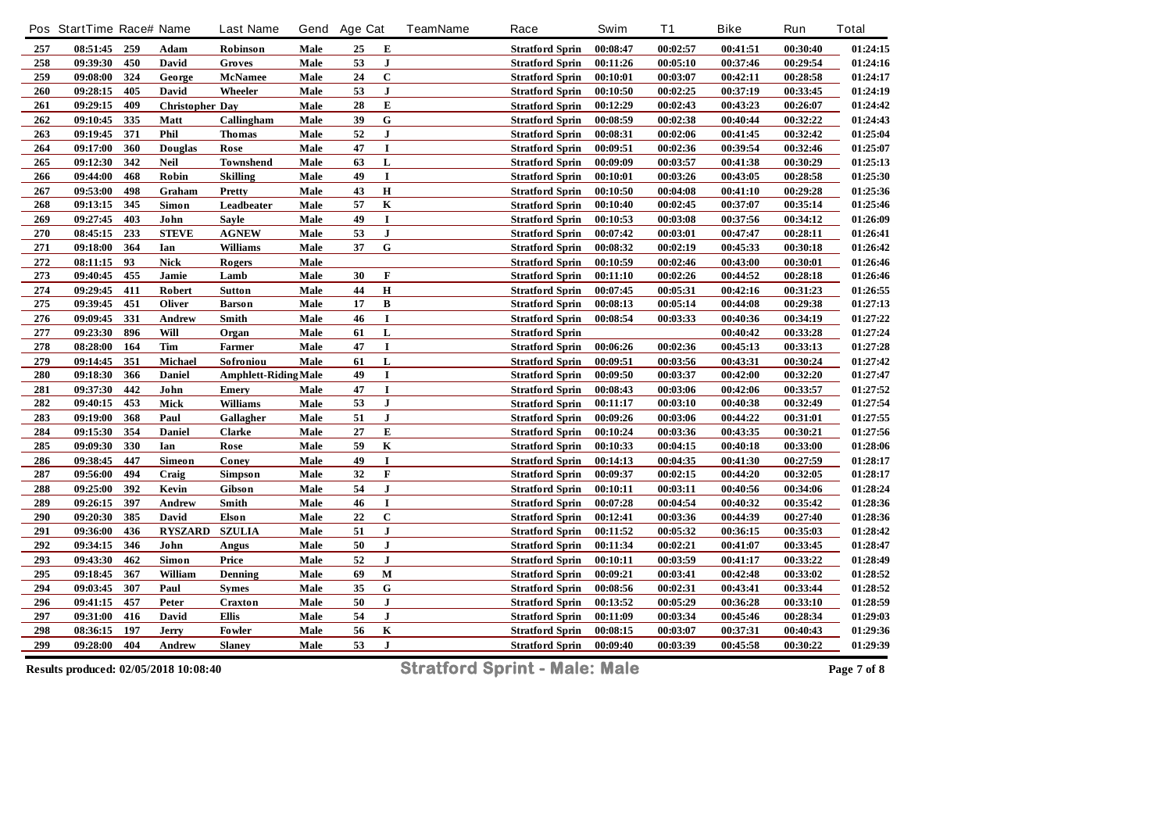|         | Pos StartTime Race# Name |     |                        | <b>Last Name</b>            |      | Gend Age Cat |              | <b>TeamName</b> | Race                   | Swim     | <b>T1</b> | <b>Bike</b> | Run      | <b>Total</b> |
|---------|--------------------------|-----|------------------------|-----------------------------|------|--------------|--------------|-----------------|------------------------|----------|-----------|-------------|----------|--------------|
| 257     | 08:51:45 259             |     | Adam                   | Robinson                    | Male | 25           | Е            |                 | <b>Stratford Sprin</b> | 00:08:47 | 00:02:57  | 00:41:51    | 00:30:40 | 01:24:15     |
| 258     | 09:39:30                 | 450 | David                  | Groves                      | Male | 53           | $\mathbf{J}$ |                 | <b>Stratford Sprin</b> | 00:11:26 | 00:05:10  | 00:37:46    | 00:29:54 | 01:24:16     |
| 259     | 09:08:00                 | 324 | George                 | McNamee                     | Male | 24           | $\mathbf C$  |                 | <b>Stratford Sprin</b> | 00:10:01 | 00:03:07  | 00:42:11    | 00:28:58 | 01:24:17     |
| 260     | 09:28:15                 | 405 | David                  | Wheeler                     | Male | 53           | ${\bf J}$    |                 | <b>Stratford Sprin</b> | 00:10:50 | 00:02:25  | 00:37:19    | 00:33:45 | 01:24:19     |
| 261     | 09:29:15                 | 409 | <b>Christopher Day</b> |                             | Male | 28           | E            |                 | <b>Stratford Sprin</b> | 00:12:29 | 00:02:43  | 00:43:23    | 00:26:07 | 01:24:42     |
| 262     | 09:10:45                 | 335 | Matt                   | Callingham                  | Male | 39           | ${\bf G}$    |                 | <b>Stratford Sprin</b> | 00:08:59 | 00:02:38  | 00:40:44    | 00:32:22 | 01:24:43     |
| 263     | 09:19:45                 | 371 | Phil                   | <b>Thomas</b>               | Male | 52           | $\mathbf{J}$ |                 | <b>Stratford Sprin</b> | 00:08:31 | 00:02:06  | 00:41:45    | 00:32:42 | 01:25:04     |
| 264     | 09:17:00                 | 360 | <b>Douglas</b>         | Rose                        | Male | 47           | $\mathbf I$  |                 | <b>Stratford Sprin</b> | 00:09:51 | 00:02:36  | 00:39:54    | 00:32:46 | 01:25:07     |
| 265     | 09:12:30                 | 342 | <b>Neil</b>            | <b>Townshend</b>            | Male | 63           | L            |                 | <b>Stratford Sprin</b> | 00:09:09 | 00:03:57  | 00:41:38    | 00:30:29 | 01:25:13     |
| 266     | 09:44:00                 | 468 | Robin                  | <b>Skilling</b>             | Male | 49           | $\bf{I}$     |                 | <b>Stratford Sprin</b> | 00:10:01 | 00:03:26  | 00:43:05    | 00:28:58 | 01:25:30     |
| 267     | 09:53:00                 | 498 | Graham                 | <b>Pretty</b>               | Male | 43           | $\mathbf H$  |                 | <b>Stratford Sprin</b> | 00:10:50 | 00:04:08  | 00:41:10    | 00:29:28 | 01:25:36     |
| 268     | 09:13:15                 | 345 | Simon                  | Leadbeater                  | Male | 57           | K            |                 | <b>Stratford Sprin</b> | 00:10:40 | 00:02:45  | 00:37:07    | 00:35:14 | 01:25:46     |
| 269     | 09:27:45                 | 403 | John                   | <b>Savle</b>                | Male | 49           | $\bf{I}$     |                 | <b>Stratford Sprin</b> | 00:10:53 | 00:03:08  | 00:37:56    | 00:34:12 | 01:26:09     |
| 270     | 08:45:15                 | 233 | ${\bf STEVE}$          | <b>AGNEW</b>                | Male | 53           | $\bf J$      |                 | <b>Stratford Sprin</b> | 00:07:42 | 00:03:01  | 00:47:47    | 00:28:11 | 01:26:41     |
| 271     | 09:18:00                 | 364 | Ian                    | <b>Williams</b>             | Male | 37           | ${\bf G}$    |                 | <b>Stratford Sprin</b> | 00:08:32 | 00:02:19  | 00:45:33    | 00:30:18 | 01:26:42     |
| 272     | 08:11:15                 | 93  | <b>Nick</b>            | <b>Rogers</b>               | Male |              |              |                 | <b>Stratford Sprin</b> | 00:10:59 | 00:02:46  | 00:43:00    | 00:30:01 | 01:26:46     |
| 273     | 09:40:45                 | 455 | Jamie                  | Lamb                        | Male | 30           | $\mathbf F$  |                 | <b>Stratford Sprin</b> | 00:11:10 | 00:02:26  | 00:44:52    | 00:28:18 | 01:26:46     |
| 274     | 09:29:45                 | 411 | Robert                 | Sutton                      | Male | 44           | $\bf H$      |                 | <b>Stratford Sprin</b> | 00:07:45 | 00:05:31  | 00:42:16    | 00:31:23 | 01:26:55     |
| 275     | 09:39:45                 | 451 | Oliver                 | <b>Barson</b>               | Male | 17           | B            |                 | <b>Stratford Sprin</b> | 00:08:13 | 00:05:14  | 00:44:08    | 00:29:38 | 01:27:13     |
| 276     | 09:09:45                 | 331 | Andrew                 | Smith                       | Male | 46           | $\mathbf I$  |                 | <b>Stratford Sprin</b> | 00:08:54 | 00:03:33  | 00:40:36    | 00:34:19 | 01:27:22     |
| $277\,$ | 09:23:30                 | 896 | Will                   | Organ                       | Male | 61           | L            |                 | <b>Stratford Sprin</b> |          |           | 00:40:42    | 00:33:28 | 01:27:24     |
| 278     | 08:28:00                 | 164 | Tim                    | Farmer                      | Male | 47           | I            |                 | <b>Stratford Sprin</b> | 00:06:26 | 00:02:36  | 00:45:13    | 00:33:13 | 01:27:28     |
| 279     | 09:14:45                 | 351 | Michael                | Sofroniou                   | Male | 61           | L            |                 | <b>Stratford Sprin</b> | 00:09:51 | 00:03:56  | 00:43:31    | 00:30:24 | 01:27:42     |
| 280     | 09:18:30                 | 366 | <b>Daniel</b>          | <b>Amphlett-Riding Male</b> |      | 49           | $\mathbf I$  |                 | <b>Stratford Sprin</b> | 00:09:50 | 00:03:37  | 00:42:00    | 00:32:20 | 01:27:47     |
| 281     | 09:37:30                 | 442 | John                   | <b>Emery</b>                | Male | 47           | $\mathbf I$  |                 | <b>Stratford Sprin</b> | 00:08:43 | 00:03:06  | 00:42:06    | 00:33:57 | 01:27:52     |
| 282     | 09:40:15                 | 453 | Mick                   | Williams                    | Male | 53           | ${\bf J}$    |                 | <b>Stratford Sprin</b> | 00:11:17 | 00:03:10  | 00:40:38    | 00:32:49 | 01:27:54     |
| 283     | 09:19:00                 | 368 | Paul                   | Gallagher                   | Male | 51           | ${\bf J}$    |                 | <b>Stratford Sprin</b> | 00:09:26 | 00:03:06  | 00:44:22    | 00:31:01 | 01:27:55     |
| 284     | 09:15:30                 | 354 | <b>Daniel</b>          | <b>Clarke</b>               | Male | $\bf 27$     | E            |                 | <b>Stratford Sprin</b> | 00:10:24 | 00:03:36  | 00:43:35    | 00:30:21 | 01:27:56     |
| 285     | 09:09:30                 | 330 | Ian                    | Rose                        | Male | 59           | $\bf K$      |                 | <b>Stratford Sprin</b> | 00:10:33 | 00:04:15  | 00:40:18    | 00:33:00 | 01:28:06     |
| 286     | 09:38:45                 | 447 | Simeon                 | Coney                       | Male | 49           | $\bf{I}$     |                 | <b>Stratford Sprin</b> | 00:14:13 | 00:04:35  | 00:41:30    | 00:27:59 | 01:28:17     |
| 287     | 09:56:00                 | 494 | Craig                  | <b>Simpson</b>              | Male | 32           | $\mathbf F$  |                 | <b>Stratford Sprin</b> | 00:09:37 | 00:02:15  | 00:44:20    | 00:32:05 | 01:28:17     |
| 288     | 09:25:00                 | 392 | Kevin                  | Gibson                      | Male | 54           | ${\bf J}$    |                 | <b>Stratford Sprin</b> | 00:10:11 | 00:03:11  | 00:40:56    | 00:34:06 | 01:28:24     |
| 289     | 09:26:15                 | 397 | Andrew                 | Smith                       | Male | 46           | $\bf{I}$     |                 | <b>Stratford Sprin</b> | 00:07:28 | 00:04:54  | 00:40:32    | 00:35:42 | 01:28:36     |
| 290     | 09:20:30                 | 385 | David                  | Elson                       | Male | 22           | $\mathbf C$  |                 | <b>Stratford Sprin</b> | 00:12:41 | 00:03:36  | 00:44:39    | 00:27:40 | 01:28:36     |
| 291     | 09:36:00                 | 436 | <b>RYSZARD</b>         | <b>SZULIA</b>               | Male | 51           | ${\bf J}$    |                 | <b>Stratford Sprin</b> | 00:11:52 | 00:05:32  | 00:36:15    | 00:35:03 | 01:28:42     |
| 292     | 09:34:15                 | 346 | John                   | Angus                       | Male | 50           | ${\bf J}$    |                 | <b>Stratford Sprin</b> | 00:11:34 | 00:02:21  | 00:41:07    | 00:33:45 | 01:28:47     |
| 293     | 09:43:30                 | 462 | Simon                  | Price                       | Male | 52           | $\mathbf{J}$ |                 | <b>Stratford Sprin</b> | 00:10:11 | 00:03:59  | 00:41:17    | 00:33:22 | 01:28:49     |
| 295     | 09:18:45                 | 367 | William                | Denning                     | Male | 69           | M            |                 | <b>Stratford Sprin</b> | 00:09:21 | 00:03:41  | 00:42:48    | 00:33:02 | 01:28:52     |
| 294     | 09:03:45                 | 307 | Paul                   | <b>Symes</b>                | Male | 35           | ${\bf G}$    |                 | <b>Stratford Sprin</b> | 00:08:56 | 00:02:31  | 00:43:41    | 00:33:44 | 01:28:52     |
| 296     | 09:41:15                 | 457 | Peter                  | <b>Craxton</b>              | Male | 50           | ${\bf J}$    |                 | <b>Stratford Sprin</b> | 00:13:52 | 00:05:29  | 00:36:28    | 00:33:10 | 01:28:59     |
| 297     | 09:31:00                 | 416 | David                  | Ellis                       | Male | 54           | $\mathbf{J}$ |                 | <b>Stratford Sprin</b> | 00:11:09 | 00:03:34  | 00:45:46    | 00:28:34 | 01:29:03     |
| 298     | 08:36:15                 | 197 | Jerry                  | Fowler                      | Male | 56           | $\bf K$      |                 | <b>Stratford Sprin</b> | 00:08:15 | 00:03:07  | 00:37:31    | 00:40:43 | 01:29:36     |
| 299     | 09:28:00                 | 404 | Andrew                 | <b>Slaney</b>               | Male | 53           | ${\bf J}$    |                 | <b>Stratford Sprin</b> | 00:09:40 | 00:03:39  | 00:45:58    | 00:30:22 | 01:29:39     |
|         |                          |     |                        |                             |      |              |              |                 |                        |          |           |             |          |              |

**Results produced: 02/05/2018 10:08:40 Stratford Sprint - Male: Male Page 7 of 8**